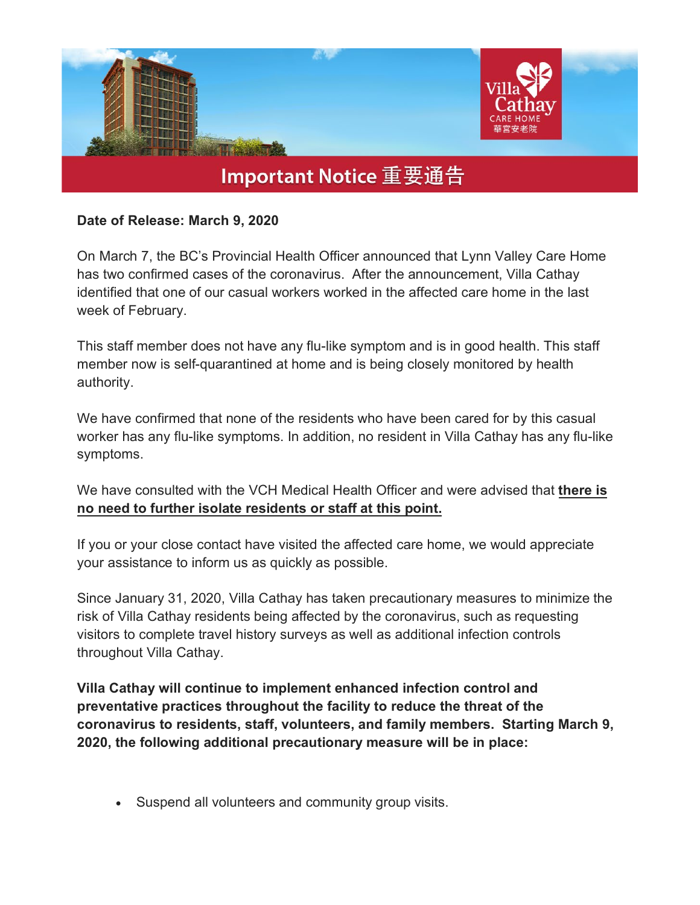

## **Date of Release: March 9, 2020**

On March 7, the BC's Provincial Health Officer announced that Lynn Valley Care Home has two confirmed cases of the coronavirus. After the announcement, Villa Cathay identified that one of our casual workers worked in the affected care home in the last week of February.

This staff member does not have any flu-like symptom and is in good health. This staff member now is self-quarantined at home and is being closely monitored by health authority.

We have confirmed that none of the residents who have been cared for by this casual worker has any flu-like symptoms. In addition, no resident in Villa Cathay has any flu-like symptoms.

We have consulted with the VCH Medical Health Officer and were advised that **there is no need to further isolate residents or staff at this point.**

If you or your close contact have visited the affected care home, we would appreciate your assistance to inform us as quickly as possible.

Since January 31, 2020, Villa Cathay has taken precautionary measures to minimize the risk of Villa Cathay residents being affected by the coronavirus, such as requesting visitors to complete travel history surveys as well as additional infection controls throughout Villa Cathay.

**Villa Cathay will continue to implement enhanced infection control and preventative practices throughout the facility to reduce the threat of the coronavirus to residents, staff, volunteers, and family members. Starting March 9, 2020, the following additional precautionary measure will be in place:**

Suspend all volunteers and community group visits.